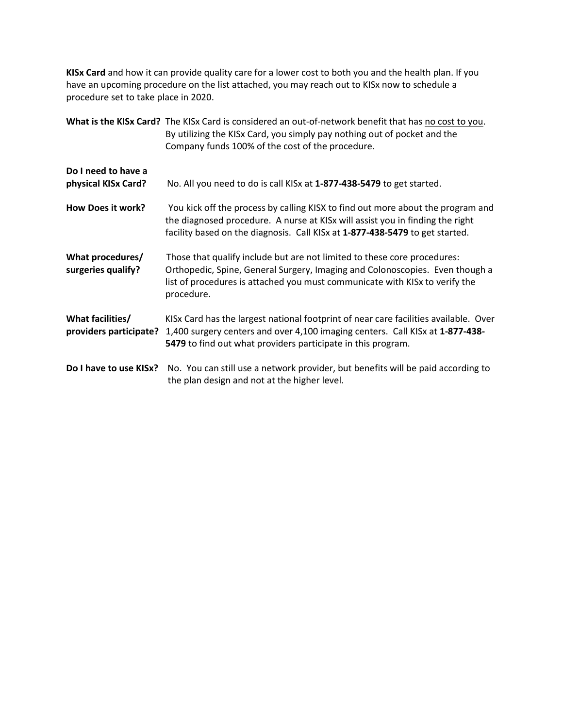**KISx Card** and how it can provide quality care for a lower cost to both you and the health plan. If you have an upcoming procedure on the list attached, you may reach out to KISx now to schedule a procedure set to take place in 2020.

|                                            | What is the KISx Card? The KISx Card is considered an out-of-network benefit that has no cost to you.<br>By utilizing the KISx Card, you simply pay nothing out of pocket and the<br>Company funds 100% of the cost of the procedure.                 |
|--------------------------------------------|-------------------------------------------------------------------------------------------------------------------------------------------------------------------------------------------------------------------------------------------------------|
| Do I need to have a<br>physical KISx Card? | No. All you need to do is call KISx at 1-877-438-5479 to get started.                                                                                                                                                                                 |
| How Does it work?                          | You kick off the process by calling KISX to find out more about the program and<br>the diagnosed procedure. A nurse at KISx will assist you in finding the right<br>facility based on the diagnosis. Call KISx at 1-877-438-5479 to get started.      |
| What procedures/<br>surgeries qualify?     | Those that qualify include but are not limited to these core procedures:<br>Orthopedic, Spine, General Surgery, Imaging and Colonoscopies. Even though a<br>list of procedures is attached you must communicate with KISx to verify the<br>procedure. |
| What facilities/<br>providers participate? | KISx Card has the largest national footprint of near care facilities available. Over<br>1,400 surgery centers and over 4,100 imaging centers. Call KISx at 1-877-438-<br>5479 to find out what providers participate in this program.                 |
| Do I have to use KISx?                     | No. You can still use a network provider, but benefits will be paid according to<br>the plan design and not at the higher level.                                                                                                                      |